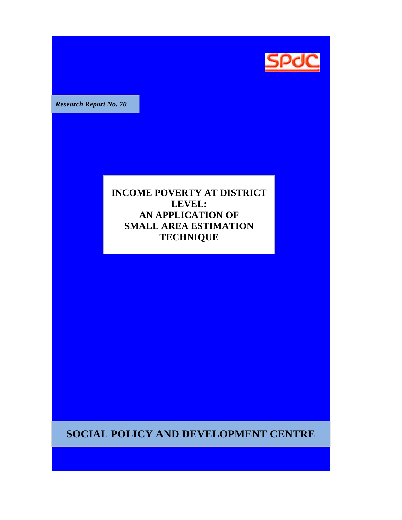

*Research Report No. 70* 

**INCOME POVERTY AT DISTRICT LEVEL: AN APPLICATION OF SMALL AREA ESTIMATION TECHNIQUE**

**SOCIAL POLICY AND DEVELOPMENT CENTRE**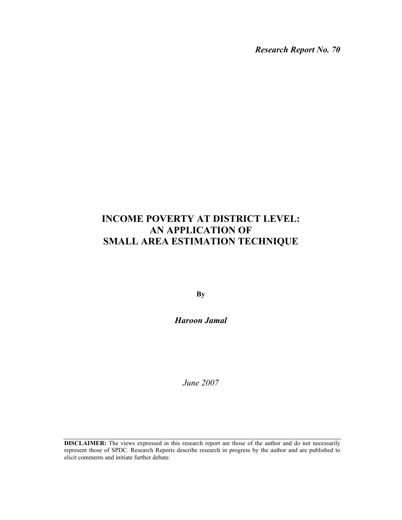*Research Report No. 70* 

# **INCOME POVERTY AT DISTRICT LEVEL: AN APPLICATION OF SMALL AREA ESTIMATION TECHNIQUE**

**By** 

*Haroon Jamal* 

*June 2007* 

**DISCLAIMER:** The views expressed in this research report are those of the author and do not necessarily represent those of SPDC. Research Reports describe research in progress by the author and are published to elicit comments and initiate further debate.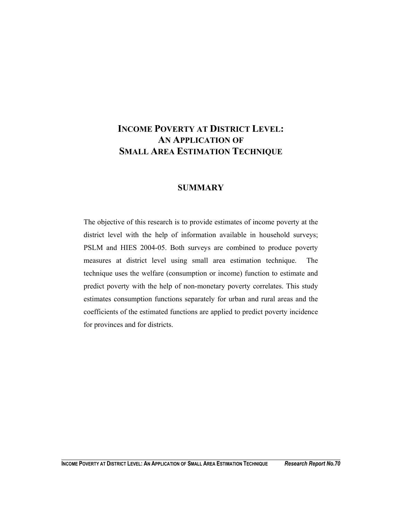## **INCOME POVERTY AT DISTRICT LEVEL: AN APPLICATION OF SMALL AREA ESTIMATION TECHNIQUE**

## **SUMMARY**

The objective of this research is to provide estimates of income poverty at the district level with the help of information available in household surveys; PSLM and HIES 2004-05. Both surveys are combined to produce poverty measures at district level using small area estimation technique. The technique uses the welfare (consumption or income) function to estimate and predict poverty with the help of non-monetary poverty correlates. This study estimates consumption functions separately for urban and rural areas and the coefficients of the estimated functions are applied to predict poverty incidence for provinces and for districts.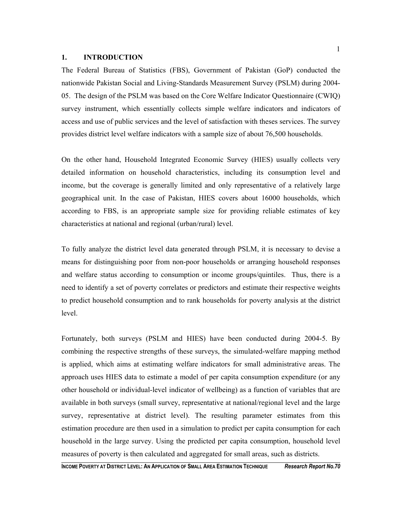#### **1. INTRODUCTION**

The Federal Bureau of Statistics (FBS), Government of Pakistan (GoP) conducted the nationwide Pakistan Social and Living-Standards Measurement Survey (PSLM) during 2004- 05. The design of the PSLM was based on the Core Welfare Indicator Questionnaire (CWIQ) survey instrument, which essentially collects simple welfare indicators and indicators of access and use of public services and the level of satisfaction with theses services. The survey provides district level welfare indicators with a sample size of about 76,500 households.

On the other hand, Household Integrated Economic Survey (HIES) usually collects very detailed information on household characteristics, including its consumption level and income, but the coverage is generally limited and only representative of a relatively large geographical unit. In the case of Pakistan, HIES covers about 16000 households, which according to FBS, is an appropriate sample size for providing reliable estimates of key characteristics at national and regional (urban/rural) level.

To fully analyze the district level data generated through PSLM, it is necessary to devise a means for distinguishing poor from non-poor households or arranging household responses and welfare status according to consumption or income groups/quintiles. Thus, there is a need to identify a set of poverty correlates or predictors and estimate their respective weights to predict household consumption and to rank households for poverty analysis at the district level.

Fortunately, both surveys (PSLM and HIES) have been conducted during 2004-5. By combining the respective strengths of these surveys, the simulated-welfare mapping method is applied, which aims at estimating welfare indicators for small administrative areas. The approach uses HIES data to estimate a model of per capita consumption expenditure (or any other household or individual-level indicator of wellbeing) as a function of variables that are available in both surveys (small survey, representative at national/regional level and the large survey, representative at district level). The resulting parameter estimates from this estimation procedure are then used in a simulation to predict per capita consumption for each household in the large survey. Using the predicted per capita consumption, household level measures of poverty is then calculated and aggregated for small areas, such as districts.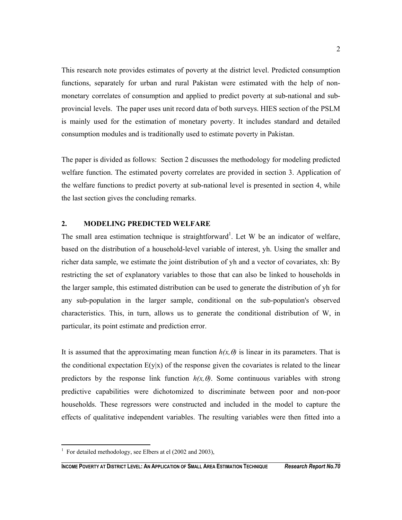This research note provides estimates of poverty at the district level. Predicted consumption functions, separately for urban and rural Pakistan were estimated with the help of nonmonetary correlates of consumption and applied to predict poverty at sub-national and subprovincial levels. The paper uses unit record data of both surveys. HIES section of the PSLM is mainly used for the estimation of monetary poverty. It includes standard and detailed consumption modules and is traditionally used to estimate poverty in Pakistan.

The paper is divided as follows: Section 2 discusses the methodology for modeling predicted welfare function. The estimated poverty correlates are provided in section 3. Application of the welfare functions to predict poverty at sub-national level is presented in section 4, while the last section gives the concluding remarks.

### **2. MODELING PREDICTED WELFARE**

The small area estimation technique is straightforward<sup>1</sup>. Let W be an indicator of welfare, based on the distribution of a household-level variable of interest, yh. Using the smaller and richer data sample, we estimate the joint distribution of yh and a vector of covariates, xh: By restricting the set of explanatory variables to those that can also be linked to households in the larger sample, this estimated distribution can be used to generate the distribution of yh for any sub-population in the larger sample, conditional on the sub-population's observed characteristics. This, in turn, allows us to generate the conditional distribution of W, in particular, its point estimate and prediction error.

It is assumed that the approximating mean function  $h(x, \theta)$  is linear in its parameters. That is the conditional expectation  $E(y|x)$  of the response given the covariates is related to the linear predictors by the response link function  $h(x, \theta)$ . Some continuous variables with strong predictive capabilities were dichotomized to discriminate between poor and non-poor households. These regressors were constructed and included in the model to capture the effects of qualitative independent variables. The resulting variables were then fitted into a

 $\overline{a}$ 

<sup>&</sup>lt;sup>1</sup> For detailed methodology, see Elbers at el (2002 and 2003),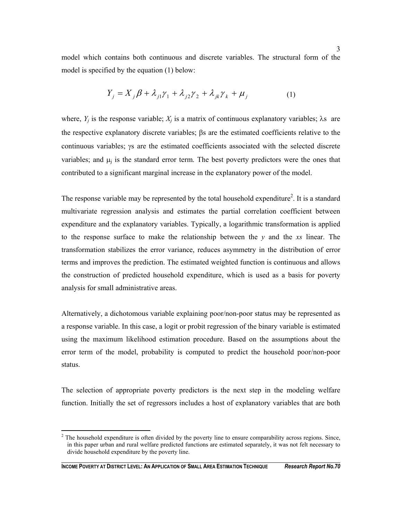model which contains both continuous and discrete variables. The structural form of the model is specified by the equation (1) below:

$$
Y_j = X_j \beta + \lambda_{j1} \gamma_1 + \lambda_{j2} \gamma_2 + \lambda_{jk} \gamma_k + \mu_j \tag{1}
$$

where,  $Y_i$  is the response variable;  $X_i$  is a matrix of continuous explanatory variables;  $\lambda$ s are the respective explanatory discrete variables; βs are the estimated coefficients relative to the continuous variables; γs are the estimated coefficients associated with the selected discrete variables; and  $\mu_i$  is the standard error term. The best poverty predictors were the ones that contributed to a significant marginal increase in the explanatory power of the model.

The response variable may be represented by the total household expenditure<sup>2</sup>. It is a standard multivariate regression analysis and estimates the partial correlation coefficient between expenditure and the explanatory variables. Typically, a logarithmic transformation is applied to the response surface to make the relationship between the *y* and the *xs* linear. The transformation stabilizes the error variance, reduces asymmetry in the distribution of error terms and improves the prediction. The estimated weighted function is continuous and allows the construction of predicted household expenditure, which is used as a basis for poverty analysis for small administrative areas.

Alternatively, a dichotomous variable explaining poor/non-poor status may be represented as a response variable. In this case, a logit or probit regression of the binary variable is estimated using the maximum likelihood estimation procedure. Based on the assumptions about the error term of the model, probability is computed to predict the household poor/non-poor status.

The selection of appropriate poverty predictors is the next step in the modeling welfare function. Initially the set of regressors includes a host of explanatory variables that are both

<sup>&</sup>lt;sup>2</sup> The household expenditure is often divided by the poverty line to ensure comparability across regions. Since, in this paper urban and rural welfare predicted functions are estimated separately, it was not felt necessary to divide household expenditure by the poverty line.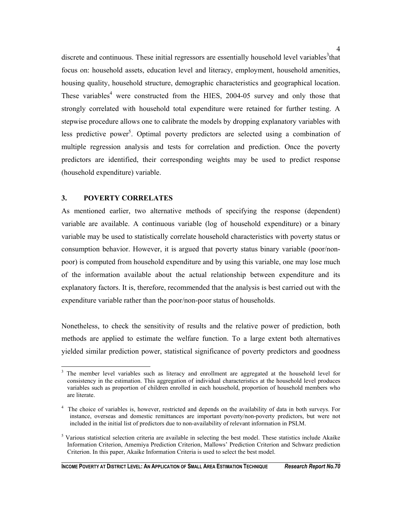discrete and continuous. These initial regressors are essentially household level variables<sup>3</sup> that focus on: household assets, education level and literacy, employment, household amenities, housing quality, household structure, demographic characteristics and geographical location. These variables<sup>4</sup> were constructed from the HIES, 2004-05 survey and only those that strongly correlated with household total expenditure were retained for further testing. A stepwise procedure allows one to calibrate the models by dropping explanatory variables with less predictive power<sup>5</sup>. Optimal poverty predictors are selected using a combination of multiple regression analysis and tests for correlation and prediction. Once the poverty predictors are identified, their corresponding weights may be used to predict response (household expenditure) variable.

#### **3. POVERTY CORRELATES**

As mentioned earlier, two alternative methods of specifying the response (dependent) variable are available. A continuous variable (log of household expenditure) or a binary variable may be used to statistically correlate household characteristics with poverty status or consumption behavior. However, it is argued that poverty status binary variable (poor/nonpoor) is computed from household expenditure and by using this variable, one may lose much of the information available about the actual relationship between expenditure and its explanatory factors. It is, therefore, recommended that the analysis is best carried out with the expenditure variable rather than the poor/non-poor status of households.

Nonetheless, to check the sensitivity of results and the relative power of prediction, both methods are applied to estimate the welfare function. To a large extent both alternatives yielded similar prediction power, statistical significance of poverty predictors and goodness

<sup>3</sup> The member level variables such as literacy and enrollment are aggregated at the household level for consistency in the estimation. This aggregation of individual characteristics at the household level produces variables such as proportion of children enrolled in each household, proportion of household members who are literate.

<sup>&</sup>lt;sup>4</sup> The choice of variables is, however, restricted and depends on the availability of data in both surveys. For instance, overseas and domestic remittances are important poverty/non-poverty predictors, but were not included in the initial list of predictors due to non-availability of relevant information in PSLM.

 $<sup>5</sup>$  Various statistical selection criteria are available in selecting the best model. These statistics include Akaike</sup> Information Criterion, Amemiya Prediction Criterion, Mallows' Prediction Criterion and Schwarz prediction Criterion. In this paper, Akaike Information Criteria is used to select the best model.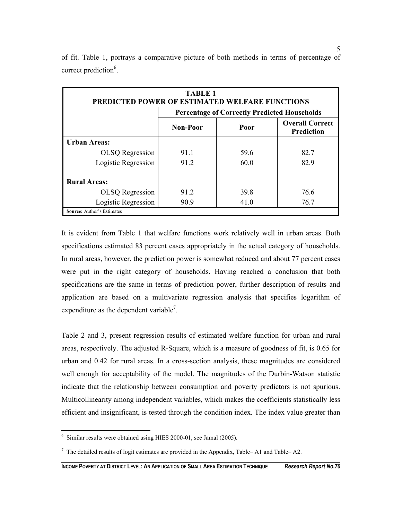| <b>TABLE 1</b><br>PREDICTED POWER OF ESTIMATED WELFARE FUNCTIONS |                                                                        |      |                                                     |  |  |  |
|------------------------------------------------------------------|------------------------------------------------------------------------|------|-----------------------------------------------------|--|--|--|
|                                                                  |                                                                        |      | <b>Percentage of Correctly Predicted Households</b> |  |  |  |
|                                                                  | <b>Overall Correct</b><br><b>Non-Poor</b><br>Poor<br><b>Prediction</b> |      |                                                     |  |  |  |
| <b>Urban Areas:</b>                                              |                                                                        |      |                                                     |  |  |  |
| <b>OLSQ</b> Regression                                           | 91.1                                                                   | 59.6 | 82.7                                                |  |  |  |
| Logistic Regression                                              | 91.2                                                                   | 60.0 | 82.9                                                |  |  |  |
| <b>Rural Areas:</b>                                              |                                                                        |      |                                                     |  |  |  |
| <b>OLSQ</b> Regression                                           | 912                                                                    | 39.8 | 76.6                                                |  |  |  |
| Logistic Regression                                              | 90.9                                                                   | 41.0 | 76.7                                                |  |  |  |
| <b>Source: Author's Estimates</b>                                |                                                                        |      |                                                     |  |  |  |

of fit. Table 1, portrays a comparative picture of both methods in terms of percentage of correct prediction<sup>6</sup>.

It is evident from Table 1 that welfare functions work relatively well in urban areas. Both specifications estimated 83 percent cases appropriately in the actual category of households. In rural areas, however, the prediction power is somewhat reduced and about 77 percent cases were put in the right category of households. Having reached a conclusion that both specifications are the same in terms of prediction power, further description of results and application are based on a multivariate regression analysis that specifies logarithm of expenditure as the dependent variable<sup>7</sup>.

Table 2 and 3, present regression results of estimated welfare function for urban and rural areas, respectively. The adjusted R-Square, which is a measure of goodness of fit, is 0.65 for urban and 0.42 for rural areas. In a cross-section analysis, these magnitudes are considered well enough for acceptability of the model. The magnitudes of the Durbin-Watson statistic indicate that the relationship between consumption and poverty predictors is not spurious. Multicollinearity among independent variables, which makes the coefficients statistically less efficient and insignificant, is tested through the condition index. The index value greater than

 6 Similar results were obtained using HIES 2000-01, see Jamal (2005).

 $^7$  The detailed results of logit estimates are provided in the Appendix, Table–A1 and Table–A2.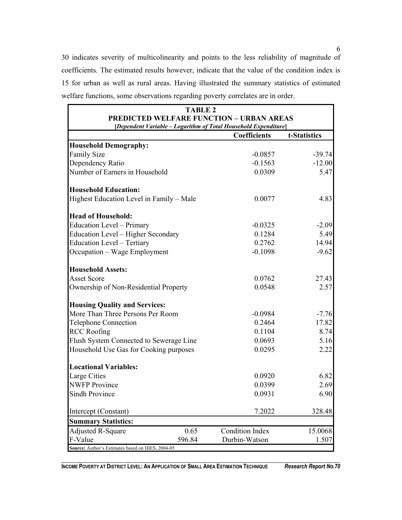30 indicates severity of multicolinearity and points to the less reliability of magnitude of coefficients. The estimated results however, indicate that the value of the condition index is 15 for urban as well as rural areas. Having illustrated the summary statistics of estimated welfare functions, some observations regarding poverty correlates are in order.

| <b>TABLE 2</b>                                                  |        |                                                 |              |  |  |  |
|-----------------------------------------------------------------|--------|-------------------------------------------------|--------------|--|--|--|
|                                                                 |        | <b>PREDICTED WELFARE FUNCTION - URBAN AREAS</b> |              |  |  |  |
| [Dependent Variable - Logarithm of Total Household Expenditure] |        |                                                 |              |  |  |  |
|                                                                 |        | Coefficients                                    | t-Statistics |  |  |  |
| <b>Household Demography:</b>                                    |        |                                                 |              |  |  |  |
| <b>Family Size</b>                                              |        | $-0.0857$                                       | $-39.74$     |  |  |  |
| Dependency Ratio                                                |        | $-0.1563$                                       | $-12.00$     |  |  |  |
| Number of Earners in Household                                  |        | 0.0309                                          | 5.47         |  |  |  |
| <b>Household Education:</b>                                     |        |                                                 |              |  |  |  |
| Highest Education Level in Family - Male                        |        | 0.0077                                          | 4.83         |  |  |  |
| <b>Head of Household:</b>                                       |        |                                                 |              |  |  |  |
| <b>Education Level - Primary</b>                                |        | $-0.0325$                                       | $-2.09$      |  |  |  |
| Education Level - Higher Secondary                              |        | 0.1284                                          | 5.49         |  |  |  |
| <b>Education Level - Tertiary</b>                               |        | 0.2762                                          | 14.94        |  |  |  |
| Occupation - Wage Employment                                    |        | $-0.1098$                                       | $-9.62$      |  |  |  |
| <b>Household Assets:</b>                                        |        |                                                 |              |  |  |  |
| <b>Asset Score</b>                                              |        | 0.0762                                          | 27.43        |  |  |  |
| Ownership of Non-Residential Property                           |        | 0.0548                                          | 2.57         |  |  |  |
| <b>Housing Quality and Services:</b>                            |        |                                                 |              |  |  |  |
| More Than Three Persons Per Room                                |        | $-0.0984$                                       | $-7.76$      |  |  |  |
| <b>Telephone Connection</b>                                     |        | 0.2464                                          | 17.82        |  |  |  |
| <b>RCC Roofing</b>                                              |        | 0.1104                                          | 8.74         |  |  |  |
| Flush System Connected to Sewerage Line                         |        | 0.0693                                          | 5.16         |  |  |  |
| Household Use Gas for Cooking purposes                          |        | 0.0295                                          | 2.22         |  |  |  |
| <b>Locational Variables:</b>                                    |        |                                                 |              |  |  |  |
| Large Cities                                                    |        | 0.0920                                          | 6.82         |  |  |  |
| <b>NWFP</b> Province                                            |        | 0.0399                                          | 2.69         |  |  |  |
| <b>Sindh Province</b>                                           |        | 0.0931                                          | 6.90         |  |  |  |
| Intercept (Constant)                                            |        | 7.2022                                          | 328.48       |  |  |  |
| <b>Summary Statistics:</b>                                      |        |                                                 |              |  |  |  |
| <b>Adjusted R-Square</b>                                        | 0.65   | <b>Condition Index</b>                          | 15.0068      |  |  |  |
| F-Value                                                         | 596.84 | Durbin-Watson                                   | 1.507        |  |  |  |
| Source: Author's Estimates based on HIES, 2004-05               |        |                                                 |              |  |  |  |

**INCOME POVERTY AT DISTRICT LEVEL: AN APPLICATION OF SMALL AREA ESTIMATION TECHNIQUE** *Research Report No.70*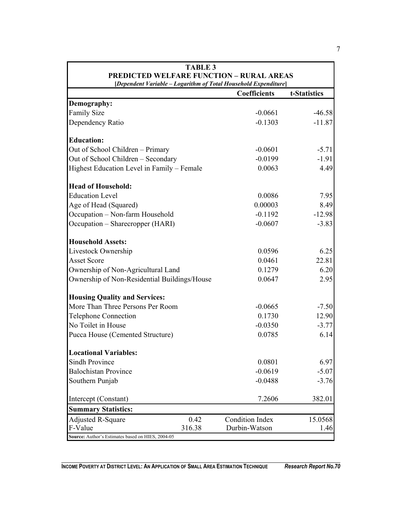| <b>TABLE 3</b>                                                  |        |                        |              |  |  |
|-----------------------------------------------------------------|--------|------------------------|--------------|--|--|
| <b>PREDICTED WELFARE FUNCTION - RURAL AREAS</b>                 |        |                        |              |  |  |
| [Dependent Variable - Logarithm of Total Household Expenditure] |        |                        |              |  |  |
|                                                                 |        | <b>Coefficients</b>    | t-Statistics |  |  |
| Demography:                                                     |        |                        |              |  |  |
| <b>Family Size</b>                                              |        | $-0.0661$              | $-46.58$     |  |  |
| Dependency Ratio                                                |        | $-0.1303$              | $-11.87$     |  |  |
| <b>Education:</b>                                               |        |                        |              |  |  |
| Out of School Children - Primary                                |        | $-0.0601$              | $-5.71$      |  |  |
| Out of School Children - Secondary                              |        | $-0.0199$              | $-1.91$      |  |  |
| Highest Education Level in Family - Female                      |        | 0.0063                 | 4.49         |  |  |
| <b>Head of Household:</b>                                       |        |                        |              |  |  |
| <b>Education Level</b>                                          |        | 0.0086                 | 7.95         |  |  |
| Age of Head (Squared)                                           |        | 0.00003                | 8.49         |  |  |
| Occupation - Non-farm Household                                 |        | $-0.1192$              | $-12.98$     |  |  |
| Occupation – Sharecropper (HARI)                                |        | $-0.0607$              | $-3.83$      |  |  |
| <b>Household Assets:</b>                                        |        |                        |              |  |  |
| Livestock Ownership                                             |        | 0.0596                 | 6.25         |  |  |
| <b>Asset Score</b>                                              |        | 0.0461                 | 22.81        |  |  |
| Ownership of Non-Agricultural Land                              |        | 0.1279                 | 6.20         |  |  |
| Ownership of Non-Residential Buildings/House                    |        | 0.0647                 | 2.95         |  |  |
| <b>Housing Quality and Services:</b>                            |        |                        |              |  |  |
| More Than Three Persons Per Room                                |        | $-0.0665$              | $-7.50$      |  |  |
| <b>Telephone Connection</b>                                     |        | 0.1730                 | 12.90        |  |  |
| No Toilet in House                                              |        | $-0.0350$              | $-3.77$      |  |  |
| Pucca House (Cemented Structure)                                |        | 0.0785                 | 6.14         |  |  |
| <b>Locational Variables:</b>                                    |        |                        |              |  |  |
| <b>Sindh Province</b>                                           |        | 0.0801                 | 6.97         |  |  |
| <b>Balochistan Province</b>                                     |        | $-0.0619$              | $-5.07$      |  |  |
| Southern Punjab                                                 |        | $-0.0488$              | $-3.76$      |  |  |
| Intercept (Constant)                                            |        | 7.2606                 | 382.01       |  |  |
| <b>Summary Statistics:</b>                                      |        |                        |              |  |  |
| <b>Adjusted R-Square</b>                                        | 0.42   | <b>Condition Index</b> | 15.0568      |  |  |
| F-Value                                                         | 316.38 | Durbin-Watson          | 1.46         |  |  |
| Source: Author's Estimates based on HIES, 2004-05               |        |                        |              |  |  |

 $\Gamma$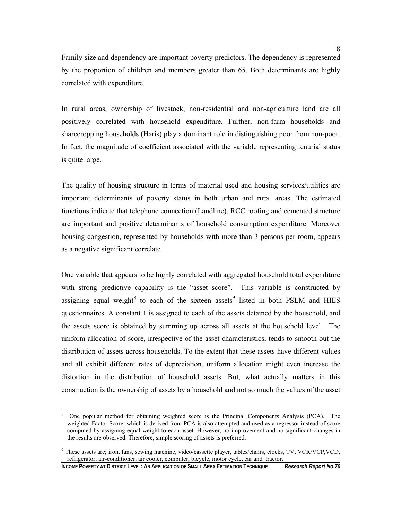Family size and dependency are important poverty predictors. The dependency is represented by the proportion of children and members greater than 65. Both determinants are highly correlated with expenditure.

In rural areas, ownership of livestock, non-residential and non-agriculture land are all positively correlated with household expenditure. Further, non-farm households and sharecropping households (Haris) play a dominant role in distinguishing poor from non-poor. In fact, the magnitude of coefficient associated with the variable representing tenurial status is quite large.

The quality of housing structure in terms of material used and housing services/utilities are important determinants of poverty status in both urban and rural areas. The estimated functions indicate that telephone connection (Landline), RCC roofing and cemented structure are important and positive determinants of household consumption expenditure. Moreover housing congestion, represented by households with more than 3 persons per room, appears as a negative significant correlate.

One variable that appears to be highly correlated with aggregated household total expenditure with strong predictive capability is the "asset score". This variable is constructed by assigning equal weight<sup>8</sup> to each of the sixteen assets<sup>9</sup> listed in both PSLM and HIES questionnaires. A constant 1 is assigned to each of the assets detained by the household, and the assets score is obtained by summing up across all assets at the household level. The uniform allocation of score, irrespective of the asset characteristics, tends to smooth out the distribution of assets across households. To the extent that these assets have different values and all exhibit different rates of depreciation, uniform allocation might even increase the distortion in the distribution of household assets. But, what actually matters in this construction is the ownership of assets by a household and not so much the values of the asset

 $\overline{a}$ 

<sup>8</sup> One popular method for obtaining weighted score is the Principal Components Analysis (PCA). The weighted Factor Score, which is derived from PCA is also attempted and used as a regressor instead of score computed by assigning equal weight to each asset. However, no improvement and no significant changes in the results are observed. Therefore, simple scoring of assets is preferred.

<sup>&</sup>lt;sup>9</sup> These assets are; iron, fans, sewing machine, video/cassette player, tables/chairs, clocks, TV, VCR/VCP,VCD, refrigerator, air-conditioner, air cooler, computer, bicycle, motor cycle, car and tractor.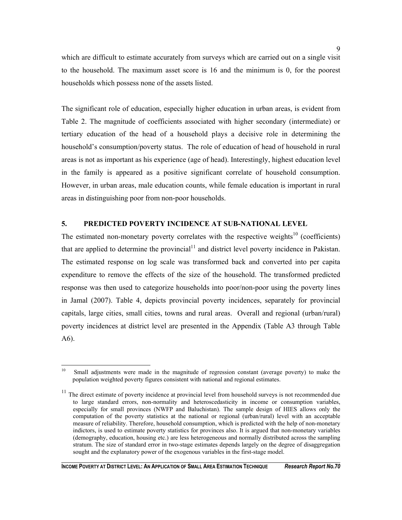which are difficult to estimate accurately from surveys which are carried out on a single visit to the household. The maximum asset score is 16 and the minimum is 0, for the poorest households which possess none of the assets listed.

The significant role of education, especially higher education in urban areas, is evident from Table 2. The magnitude of coefficients associated with higher secondary (intermediate) or tertiary education of the head of a household plays a decisive role in determining the household's consumption/poverty status. The role of education of head of household in rural areas is not as important as his experience (age of head). Interestingly, highest education level in the family is appeared as a positive significant correlate of household consumption. However, in urban areas, male education counts, while female education is important in rural areas in distinguishing poor from non-poor households.

## **5. PREDICTED POVERTY INCIDENCE AT SUB-NATIONAL LEVEL**

The estimated non-monetary poverty correlates with the respective weights<sup>10</sup> (coefficients) that are applied to determine the provincial<sup>11</sup> and district level poverty incidence in Pakistan. The estimated response on log scale was transformed back and converted into per capita expenditure to remove the effects of the size of the household. The transformed predicted response was then used to categorize households into poor/non-poor using the poverty lines in Jamal (2007). Table 4, depicts provincial poverty incidences, separately for provincial capitals, large cities, small cities, towns and rural areas. Overall and regional (urban/rural) poverty incidences at district level are presented in the Appendix (Table A3 through Table A6).

 $10<sup>10</sup>$ Small adjustments were made in the magnitude of regression constant (average poverty) to make the population weighted poverty figures consistent with national and regional estimates.

<sup>&</sup>lt;sup>11</sup> The direct estimate of poverty incidence at provincial level from household surveys is not recommended due to large standard errors, non-normality and heteroscedasticity in income or consumption variables, especially for small provinces (NWFP and Baluchistan). The sample design of HIES allows only the computation of the poverty statistics at the national or regional (urban/rural) level with an acceptable measure of reliability. Therefore, household consumption, which is predicted with the help of non-monetary indictors, is used to estimate poverty statistics for provinces also. It is argued that non-monetary variables (demography, education, housing etc.) are less heterogeneous and normally distributed across the sampling stratum. The size of standard error in two-stage estimates depends largely on the degree of disaggregation sought and the explanatory power of the exogenous variables in the first-stage model.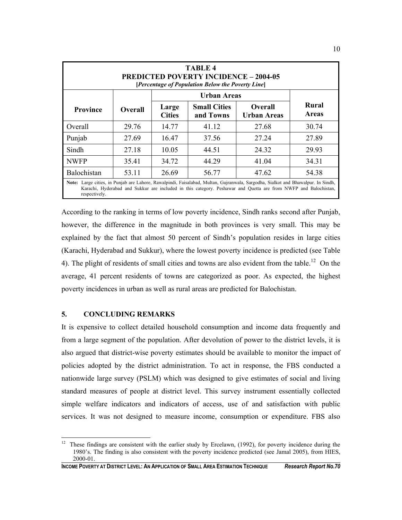| <b>TABLE 4</b><br><b>PREDICTED POVERTY INCIDENCE - 2004-05</b><br>[Percentage of Population Below the Poverty Line]                                                                                                                                                  |                |                        |                                  |                                      |                              |
|----------------------------------------------------------------------------------------------------------------------------------------------------------------------------------------------------------------------------------------------------------------------|----------------|------------------------|----------------------------------|--------------------------------------|------------------------------|
| <b>Urban Areas</b>                                                                                                                                                                                                                                                   |                |                        |                                  |                                      |                              |
| <b>Province</b>                                                                                                                                                                                                                                                      | <b>Overall</b> | Large<br><b>Cities</b> | <b>Small Cities</b><br>and Towns | <b>Overall</b><br><b>Urban Areas</b> | <b>Rural</b><br><b>Areas</b> |
| Overall                                                                                                                                                                                                                                                              | 29.76          | 14.77                  | 41.12                            | 27.68                                | 30.74                        |
| Punjab                                                                                                                                                                                                                                                               | 27.69          | 16.47                  | 37.56                            | 27.24                                | 27.89                        |
| Sindh                                                                                                                                                                                                                                                                | 27.18          | 10.05                  | 44.51                            | 24.32                                | 29.93                        |
| <b>NWFP</b>                                                                                                                                                                                                                                                          | 35.41          | 34.72                  | 44.29                            | 41.04                                | 34.31                        |
| Balochistan                                                                                                                                                                                                                                                          | 53.11          | 26.69                  | 56.77                            | 47.62                                | 54.38                        |
| Note: Large cities, in Punjab are Lahore, Rawalpindi, Faisalabad, Multan, Gujranwala, Sargodha, Sialkot and Bhawalpur. In Sindh,<br>Karachi, Hyderabad and Sukkur are included in this category. Peshawar and Quetta are from NWFP and Balochistan,<br>respectively. |                |                        |                                  |                                      |                              |

According to the ranking in terms of low poverty incidence, Sindh ranks second after Punjab, however, the difference in the magnitude in both provinces is very small. This may be explained by the fact that almost 50 percent of Sindh's population resides in large cities (Karachi, Hyderabad and Sukkur), where the lowest poverty incidence is predicted (see Table 4). The plight of residents of small cities and towns are also evident from the table.<sup>12</sup> On the average, 41 percent residents of towns are categorized as poor. As expected, the highest poverty incidences in urban as well as rural areas are predicted for Balochistan.

## **5. CONCLUDING REMARKS**

It is expensive to collect detailed household consumption and income data frequently and from a large segment of the population. After devolution of power to the district levels, it is also argued that district-wise poverty estimates should be available to monitor the impact of policies adopted by the district administration. To act in response, the FBS conducted a nationwide large survey (PSLM) which was designed to give estimates of social and living standard measures of people at district level. This survey instrument essentially collected simple welfare indicators and indicators of access, use of and satisfaction with public services. It was not designed to measure income, consumption or expenditure. FBS also

 $12\,$ These findings are consistent with the earlier study by Ercelawn, (1992), for poverty incidence during the 1980's. The finding is also consistent with the poverty incidence predicted (see Jamal 2005), from HIES, 2000-01.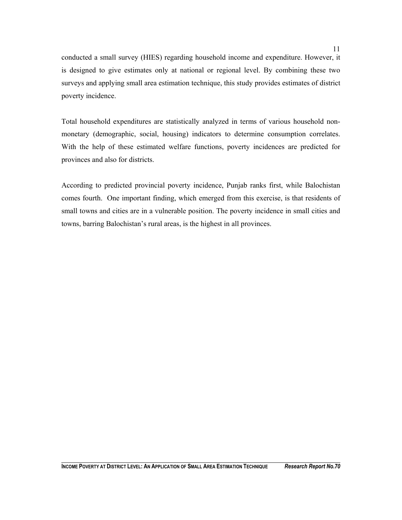conducted a small survey (HIES) regarding household income and expenditure. However, it is designed to give estimates only at national or regional level. By combining these two surveys and applying small area estimation technique, this study provides estimates of district poverty incidence.

Total household expenditures are statistically analyzed in terms of various household nonmonetary (demographic, social, housing) indicators to determine consumption correlates. With the help of these estimated welfare functions, poverty incidences are predicted for provinces and also for districts.

According to predicted provincial poverty incidence, Punjab ranks first, while Balochistan comes fourth. One important finding, which emerged from this exercise, is that residents of small towns and cities are in a vulnerable position. The poverty incidence in small cities and towns, barring Balochistan's rural areas, is the highest in all provinces.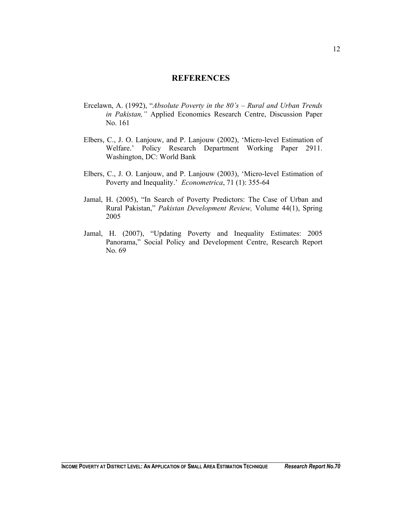### **REFERENCES**

- Ercelawn, A. (1992), "*Absolute Poverty in the 80's Rural and Urban Trends in Pakistan,"* Applied Economics Research Centre, Discussion Paper No. 161
- Elbers, C., J. O. Lanjouw, and P. Lanjouw (2002), 'Micro-level Estimation of Welfare.' Policy Research Department Working Paper 2911. Washington, DC: World Bank
- Elbers, C., J. O. Lanjouw, and P. Lanjouw (2003), 'Micro-level Estimation of Poverty and Inequality.' *Econometrica*, 71 (1): 355-64
- Jamal, H. (2005), "In Search of Poverty Predictors: The Case of Urban and Rural Pakistan," *Pakistan Development Review,* Volume 44(1), Spring 2005
- Jamal, H. (2007), "Updating Poverty and Inequality Estimates: 2005 Panorama," Social Policy and Development Centre, Research Report No. 69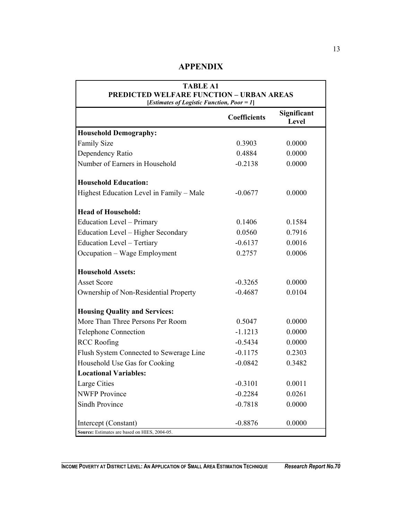## **APPENDIX**

| <b>TABLE A1</b><br><b>PREDICTED WELFARE FUNCTION - URBAN AREAS</b><br>[Estimates of Logistic Function, Poor = 1] |                     |                      |  |  |  |
|------------------------------------------------------------------------------------------------------------------|---------------------|----------------------|--|--|--|
|                                                                                                                  | <b>Coefficients</b> | Significant<br>Level |  |  |  |
| <b>Household Demography:</b>                                                                                     |                     |                      |  |  |  |
| <b>Family Size</b>                                                                                               | 0.3903              | 0.0000               |  |  |  |
| Dependency Ratio                                                                                                 | 0.4884              | 0.0000               |  |  |  |
| Number of Earners in Household                                                                                   | $-0.2138$           | 0.0000               |  |  |  |
| <b>Household Education:</b>                                                                                      |                     |                      |  |  |  |
| Highest Education Level in Family - Male                                                                         | $-0.0677$           | 0.0000               |  |  |  |
| <b>Head of Household:</b>                                                                                        |                     |                      |  |  |  |
| <b>Education Level - Primary</b>                                                                                 | 0.1406              | 0.1584               |  |  |  |
| Education Level - Higher Secondary                                                                               | 0.0560              | 0.7916               |  |  |  |
| <b>Education Level - Tertiary</b>                                                                                | $-0.6137$           | 0.0016               |  |  |  |
| Occupation - Wage Employment                                                                                     | 0.2757              | 0.0006               |  |  |  |
| <b>Household Assets:</b>                                                                                         |                     |                      |  |  |  |
| <b>Asset Score</b>                                                                                               | $-0.3265$           | 0.0000               |  |  |  |
| Ownership of Non-Residential Property                                                                            | $-0.4687$           | 0.0104               |  |  |  |
| <b>Housing Quality and Services:</b>                                                                             |                     |                      |  |  |  |
| More Than Three Persons Per Room                                                                                 | 0.5047              | 0.0000               |  |  |  |
| <b>Telephone Connection</b>                                                                                      | $-1.1213$           | 0.0000               |  |  |  |
| <b>RCC</b> Roofing                                                                                               | $-0.5434$           | 0.0000               |  |  |  |
| Flush System Connected to Sewerage Line                                                                          | $-0.1175$           | 0.2303               |  |  |  |
| Household Use Gas for Cooking                                                                                    | $-0.0842$           | 0.3482               |  |  |  |
| <b>Locational Variables:</b>                                                                                     |                     |                      |  |  |  |
| Large Cities                                                                                                     | $-0.3101$           | 0.0011               |  |  |  |
| <b>NWFP</b> Province                                                                                             | $-0.2284$           | 0.0261               |  |  |  |
| Sindh Province                                                                                                   | $-0.7818$           | 0.0000               |  |  |  |
| Intercept (Constant)                                                                                             | $-0.8876$           | 0.0000               |  |  |  |
| Source: Estimates are based on HIES, 2004-05.                                                                    |                     |                      |  |  |  |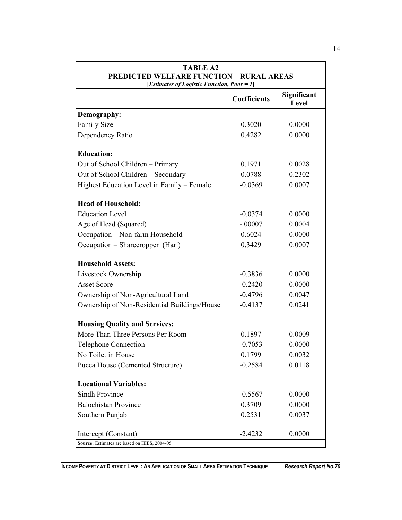| <b>TABLE A2</b><br><b>PREDICTED WELFARE FUNCTION - RURAL AREAS</b><br>[Estimates of Logistic Function, Poor = 1] |                     |                      |  |  |
|------------------------------------------------------------------------------------------------------------------|---------------------|----------------------|--|--|
|                                                                                                                  | <b>Coefficients</b> | Significant<br>Level |  |  |
| Demography:                                                                                                      |                     |                      |  |  |
| <b>Family Size</b>                                                                                               | 0.3020              | 0.0000               |  |  |
| Dependency Ratio                                                                                                 | 0.4282              | 0.0000               |  |  |
| <b>Education:</b>                                                                                                |                     |                      |  |  |
| Out of School Children - Primary                                                                                 | 0.1971              | 0.0028               |  |  |
| Out of School Children - Secondary                                                                               | 0.0788              | 0.2302               |  |  |
| Highest Education Level in Family - Female                                                                       | $-0.0369$           | 0.0007               |  |  |
| <b>Head of Household:</b>                                                                                        |                     |                      |  |  |
| <b>Education Level</b>                                                                                           | $-0.0374$           | 0.0000               |  |  |
| Age of Head (Squared)                                                                                            | $-.00007$           | 0.0004               |  |  |
| Occupation - Non-farm Household                                                                                  | 0.6024              | 0.0000               |  |  |
| Occupation - Sharecropper (Hari)                                                                                 | 0.3429              | 0.0007               |  |  |
| <b>Household Assets:</b>                                                                                         |                     |                      |  |  |
| Livestock Ownership                                                                                              | $-0.3836$           | 0.0000               |  |  |
| <b>Asset Score</b>                                                                                               | $-0.2420$           | 0.0000               |  |  |
| Ownership of Non-Agricultural Land                                                                               | $-0.4796$           | 0.0047               |  |  |
| Ownership of Non-Residential Buildings/House                                                                     | $-0.4137$           | 0.0241               |  |  |
| <b>Housing Quality and Services:</b>                                                                             |                     |                      |  |  |
| More Than Three Persons Per Room                                                                                 | 0.1897              | 0.0009               |  |  |
| <b>Telephone Connection</b>                                                                                      | $-0.7053$           | 0.0000               |  |  |
| No Toilet in House                                                                                               | 0.1799              | 0.0032               |  |  |
| Pucca House (Cemented Structure)                                                                                 | $-0.2584$           | 0.0118               |  |  |
| <b>Locational Variables:</b>                                                                                     |                     |                      |  |  |
| <b>Sindh Province</b>                                                                                            | $-0.5567$           | 0.0000               |  |  |
| <b>Balochistan Province</b>                                                                                      | 0.3709              | 0.0000               |  |  |
| Southern Punjab                                                                                                  | 0.2531              | 0.0037               |  |  |
| Intercept (Constant)                                                                                             | $-2.4232$           | 0.0000               |  |  |
| Source: Estimates are based on HIES, 2004-05.                                                                    |                     |                      |  |  |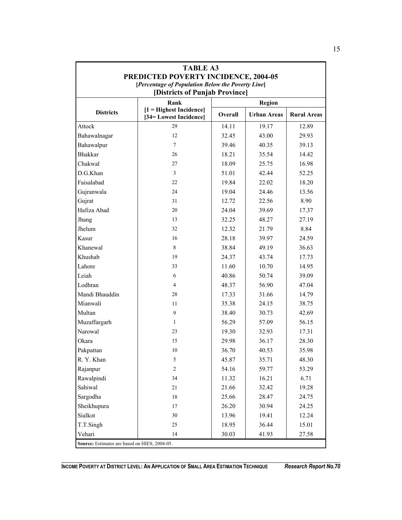|                                               | <b>TABLE A3</b>                                      |         |                    |                    |
|-----------------------------------------------|------------------------------------------------------|---------|--------------------|--------------------|
|                                               | PREDICTED POVERTY INCIDENCE, 2004-05                 |         |                    |                    |
|                                               | [Percentage of Population Below the Poverty Line]    |         |                    |                    |
|                                               | [Districts of Punjab Province]                       |         |                    |                    |
|                                               | <b>Region</b><br>Rank                                |         |                    |                    |
| <b>Districts</b>                              | $[1]$ = Highest Incidence]<br>[34= Lowest Incidence] | Overall | <b>Urban Areas</b> | <b>Rural Areas</b> |
| Attock                                        | 29                                                   | 14.11   | 19.17              | 12.89              |
| Bahawalnagar                                  | 12                                                   | 32.45   | 43.00              | 29.93              |
| Bahawalpur                                    | $\tau$                                               | 39.46   | 40.35              | 39.13              |
| <b>Bhakkar</b>                                | 26                                                   | 18.21   | 35.54              | 14.42              |
| Chakwal                                       | 27                                                   | 18.09   | 25.75              | 16.98              |
| D.G.Khan                                      | 3                                                    | 51.01   | 42.44              | 52.25              |
| Faisalabad                                    | 22                                                   | 19.84   | 22.02              | 18.20              |
| Gujranwala                                    | 24                                                   | 19.04   | 24.46              | 13.56              |
| Gujrat                                        | 31                                                   | 12.72   | 22.56              | 8.90               |
| Hafiza Abad                                   | 20                                                   | 24.04   | 39.69              | 17.37              |
| Jhang                                         | 13                                                   | 32.25   | 48.27              | 27.19              |
| Jhelum                                        | 32                                                   | 12.32   | 21.79              | 8.84               |
| Kasur                                         | 16                                                   | 28.18   | 39.97              | 24.59              |
| Khanewal                                      | 8                                                    | 38.84   | 49.19              | 36.63              |
| Khushab                                       | 19                                                   | 24.37   | 43.74              | 17.73              |
| Lahore                                        | 33                                                   | 11.60   | 10.70              | 14.95              |
| Leiah                                         | 6                                                    | 40.86   | 50.74              | 39.09              |
| Lodhran                                       | 4                                                    | 48.37   | 56.90              | 47.04              |
| Mandi Bhauddin                                | 28                                                   | 17.33   | 31.66              | 14.79              |
| Mianwali                                      | 11                                                   | 35.38   | 24.15              | 38.75              |
| Multan                                        | 9                                                    | 38.40   | 30.73              | 42.69              |
| Muzaffargarh                                  | 1                                                    | 56.29   | 57.09              | 56.15              |
| Narowal                                       | 23                                                   | 19.30   | 32.93              | 17.31              |
| Okara                                         | 15                                                   | 29.98   | 36.17              | 28.30              |
| Pakpattan                                     | 10                                                   | 36.70   | 40.53              | 35.98              |
| R. Y. Khan                                    | 5                                                    | 45.87   | 35.71              | 48.30              |
| Rajanpur                                      | $\overline{2}$                                       | 54.16   | 59.77              | 53.29              |
| Rawalpindi                                    | 34                                                   | 11.32   | 16.21              | 6.71               |
| Sahiwal                                       | 21                                                   | 21.66   | 32.42              | 19.28              |
| Sargodha                                      | 18                                                   | 25.66   | 28.47              | 24.75              |
| Sheikhupura                                   | 17                                                   | 26.20   | 30.94              | 24.25              |
| Sialkot                                       | 30                                                   | 13.96   | 19.41              | 12.24              |
| T.T.Singh                                     | 25                                                   | 18.95   | 36.44              | 15.01              |
| Vehari                                        | 14                                                   | 30.03   | 41.93              | 27.58              |
| Source: Estimates are based on HIES, 2004-05. |                                                      |         |                    |                    |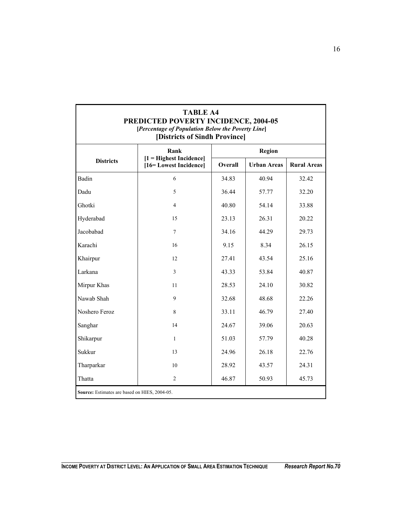| <b>TABLE A4</b><br>PREDICTED POVERTY INCIDENCE, 2004-05<br>[Percentage of Population Below the Poverty Line]<br>[Districts of Sindh Province] |                                                     |               |                    |                    |  |
|-----------------------------------------------------------------------------------------------------------------------------------------------|-----------------------------------------------------|---------------|--------------------|--------------------|--|
|                                                                                                                                               | Rank                                                | <b>Region</b> |                    |                    |  |
| <b>Districts</b>                                                                                                                              | $[1]$ = Highest Incidence]<br>[16=Lowest Incidence] | Overall       | <b>Urban Areas</b> | <b>Rural Areas</b> |  |
| Badin                                                                                                                                         | 6                                                   | 34.83         | 40.94              | 32.42              |  |
| Dadu                                                                                                                                          | 5                                                   | 36.44         | 57.77              | 32.20              |  |
| Ghotki                                                                                                                                        | 4                                                   | 40.80         | 54.14              | 33.88              |  |
| Hyderabad                                                                                                                                     | 15                                                  | 23.13         | 26.31              | 20.22              |  |
| Jacobabad                                                                                                                                     | $\overline{7}$                                      | 34.16         | 44.29              | 29.73              |  |
| Karachi                                                                                                                                       | 16                                                  | 9.15          | 8.34               | 26.15              |  |
| Khairpur                                                                                                                                      | 12                                                  | 27.41         | 43.54              | 25.16              |  |
| Larkana                                                                                                                                       | $\overline{3}$                                      | 43.33         | 53.84              | 40.87              |  |
| Mirpur Khas                                                                                                                                   | 11                                                  | 28.53         | 24.10              | 30.82              |  |
| Nawab Shah                                                                                                                                    | 9                                                   | 32.68         | 48.68              | 22.26              |  |
| Noshero Feroz                                                                                                                                 | 8                                                   | 33.11         | 46.79              | 27.40              |  |
| Sanghar                                                                                                                                       | 14                                                  | 24.67         | 39.06              | 20.63              |  |
| Shikarpur                                                                                                                                     | $\mathbf{1}$                                        | 51.03         | 57.79              | 40.28              |  |
| Sukkur                                                                                                                                        | 13                                                  | 24.96         | 26.18              | 22.76              |  |
| Tharparkar                                                                                                                                    | 10                                                  | 28.92         | 43.57              | 24.31              |  |
| Thatta                                                                                                                                        | $\overline{2}$                                      | 46.87         | 50.93              | 45.73              |  |
| Source: Estimates are based on HIES, 2004-05.                                                                                                 |                                                     |               |                    |                    |  |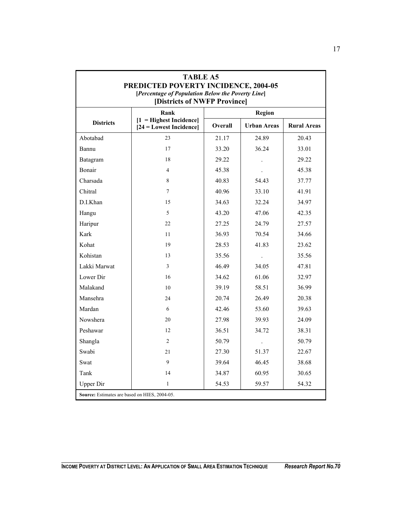| <b>TABLE A5</b><br>PREDICTED POVERTY INCIDENCE, 2004-05<br>[Percentage of Population Below the Poverty Line]<br>[Districts of NWFP Province] |                                                       |         |                      |                    |  |
|----------------------------------------------------------------------------------------------------------------------------------------------|-------------------------------------------------------|---------|----------------------|--------------------|--|
|                                                                                                                                              | Rank                                                  | Region  |                      |                    |  |
| <b>Districts</b>                                                                                                                             | $1 =$ Highest Incidence<br>$[24]$ = Lowest Incidence] | Overall | <b>Urban Areas</b>   | <b>Rural Areas</b> |  |
| Abotabad                                                                                                                                     | 23                                                    | 21.17   | 24.89                | 20.43              |  |
| Bannu                                                                                                                                        | 17                                                    | 33.20   | 36.24                | 33.01              |  |
| Batagram                                                                                                                                     | 18                                                    | 29.22   |                      | 29.22              |  |
| Bonair                                                                                                                                       | $\overline{4}$                                        | 45.38   |                      | 45.38              |  |
| Charsada                                                                                                                                     | 8                                                     | 40.83   | 54.43                | 37.77              |  |
| Chitral                                                                                                                                      | 7                                                     | 40.96   | 33.10                | 41.91              |  |
| D.I.Khan                                                                                                                                     | 15                                                    | 34.63   | 32.24                | 34.97              |  |
| Hangu                                                                                                                                        | 5                                                     | 43.20   | 47.06                | 42.35              |  |
| Haripur                                                                                                                                      | 22                                                    | 27.25   | 24.79                | 27.57              |  |
| Kark                                                                                                                                         | 11                                                    | 36.93   | 70.54                | 34.66              |  |
| Kohat                                                                                                                                        | 19                                                    | 28.53   | 41.83                | 23.62              |  |
| Kohistan                                                                                                                                     | 13                                                    | 35.56   | $\Box$               | 35.56              |  |
| Lakki Marwat                                                                                                                                 | $\overline{3}$                                        | 46.49   | 34.05                | 47.81              |  |
| Lower Dir                                                                                                                                    | 16                                                    | 34.62   | 61.06                | 32.97              |  |
| Malakand                                                                                                                                     | 10                                                    | 39.19   | 58.51                | 36.99              |  |
| Mansehra                                                                                                                                     | 24                                                    | 20.74   | 26.49                | 20.38              |  |
| Mardan                                                                                                                                       | 6                                                     | 42.46   | 53.60                | 39.63              |  |
| Nowshera                                                                                                                                     | 20                                                    | 27.98   | 39.93                | 24.09              |  |
| Peshawar                                                                                                                                     | 12                                                    | 36.51   | 34.72                | 38.31              |  |
| Shangla                                                                                                                                      | $\overline{2}$                                        | 50.79   | $\ddot{\phantom{0}}$ | 50.79              |  |
| Swabi                                                                                                                                        | 21                                                    | 27.30   | 51.37                | 22.67              |  |
| Swat                                                                                                                                         | 9                                                     | 39.64   | 46.45                | 38.68              |  |
| Tank                                                                                                                                         | 14                                                    | 34.87   | 60.95                | 30.65              |  |
| <b>Upper Dir</b>                                                                                                                             | 1                                                     | 54.53   | 59.57                | 54.32              |  |
| Source: Estimates are based on HIES, 2004-05.                                                                                                |                                                       |         |                      |                    |  |

r

٦